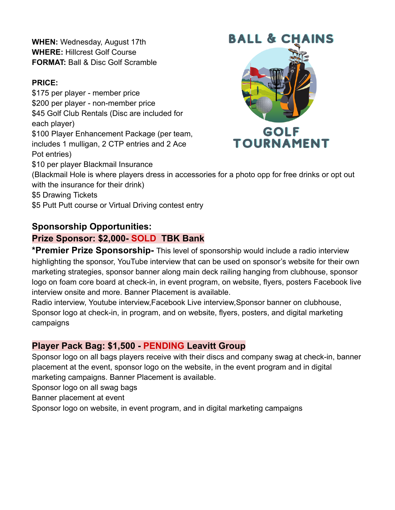**WHEN:** Wednesday, August 17th **WHERE:** Hillcrest Golf Course **FORMAT:** Ball & Disc Golf Scramble

#### **PRICE:**

\$175 per player - member price \$200 per player - non-member price \$45 Golf Club Rentals (Disc are included for each player) \$100 Player Enhancement Package (per team, includes 1 mulligan, 2 CTP entries and 2 Ace Pot entries) \$10 per player Blackmail Insurance



(Blackmail Hole is where players dress in accessories for a photo opp for free drinks or opt out with the insurance for their drink)

\$5 Drawing Tickets

\$5 Putt Putt course or Virtual Driving contest entry

### **Sponsorship Opportunities:**

### **Prize Sponsor: \$2,000- SOLD TBK Bank**

**\*Premier Prize Sponsorship-** This level of sponsorship would include a radio interview highlighting the sponsor, YouTube interview that can be used on sponsor's website for their own marketing strategies, sponsor banner along main deck railing hanging from clubhouse, sponsor logo on foam core board at check-in, in event program, on website, flyers, posters Facebook live interview onsite and more. Banner Placement is available.

Radio interview, Youtube interview,Facebook Live interview,Sponsor banner on clubhouse, Sponsor logo at check-in, in program, and on website, flyers, posters, and digital marketing campaigns

### **Player Pack Bag: \$1,500 - PENDING Leavitt Group**

Sponsor logo on all bags players receive with their discs and company swag at check-in, banner placement at the event, sponsor logo on the website, in the event program and in digital marketing campaigns. Banner Placement is available.

Sponsor logo on all swag bags

Banner placement at event

Sponsor logo on website, in event program, and in digital marketing campaigns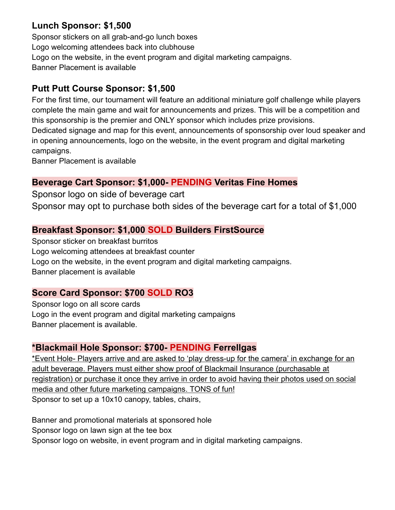## **Lunch Sponsor: \$1,500**

Sponsor stickers on all grab-and-go lunch boxes Logo welcoming attendees back into clubhouse Logo on the website, in the event program and digital marketing campaigns. Banner Placement is available

## **Putt Putt Course Sponsor: \$1,500**

For the first time, our tournament will feature an additional miniature golf challenge while players complete the main game and wait for announcements and prizes. This will be a competition and this sponsorship is the premier and ONLY sponsor which includes prize provisions. Dedicated signage and map for this event, announcements of sponsorship over loud speaker and in opening announcements, logo on the website, in the event program and digital marketing campaigns.

Banner Placement is available

### **Beverage Cart Sponsor: \$1,000- PENDING Veritas Fine Homes**

Sponsor logo on side of beverage cart

Sponsor may opt to purchase both sides of the beverage cart for a total of \$1,000

### **Breakfast Sponsor: \$1,000 SOLD Builders FirstSource**

Sponsor sticker on breakfast burritos Logo welcoming attendees at breakfast counter Logo on the website, in the event program and digital marketing campaigns. Banner placement is available

### **Score Card Sponsor: \$700 SOLD RO3**

Sponsor logo on all score cards Logo in the event program and digital marketing campaigns Banner placement is available.

### **\*Blackmail Hole Sponsor: \$700- PENDING Ferrellgas**

\*Event Hole- Players arrive and are asked to 'play dress-up for the camera' in exchange for an adult beverage. Players must either show proof of Blackmail Insurance (purchasable at registration) or purchase it once they arrive in order to avoid having their photos used on social media and other future marketing campaigns. TONS of fun! Sponsor to set up a 10x10 canopy, tables, chairs,

Banner and promotional materials at sponsored hole Sponsor logo on lawn sign at the tee box Sponsor logo on website, in event program and in digital marketing campaigns.